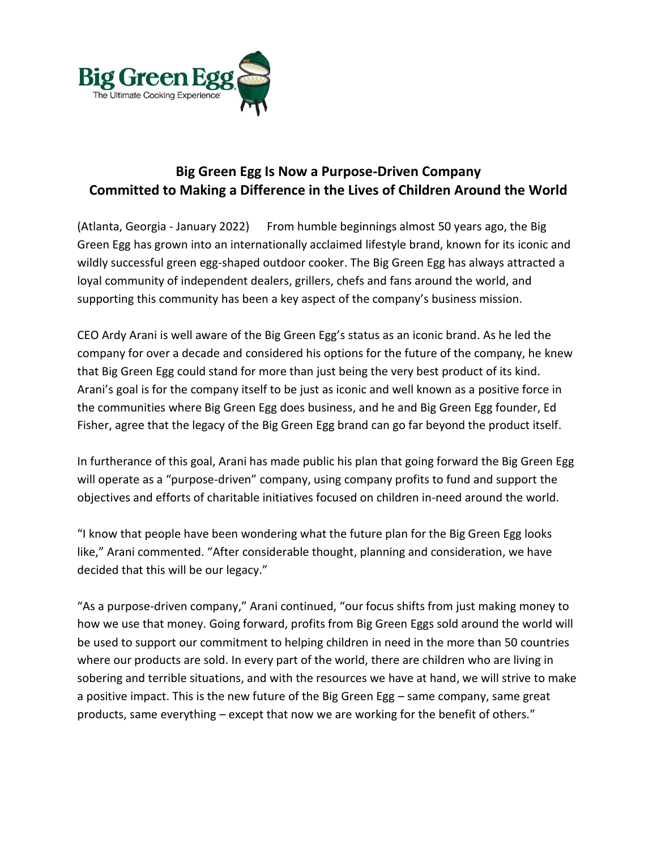

## **Big Green Egg Is Now a Purpose-Driven Company Committed to Making a Difference in the Lives of Children Around the World**

(Atlanta, Georgia - January 2022) From humble beginnings almost 50 years ago, the Big Green Egg has grown into an internationally acclaimed lifestyle brand, known for its iconic and wildly successful green egg-shaped outdoor cooker. The Big Green Egg has always attracted a loyal community of independent dealers, grillers, chefs and fans around the world, and supporting this community has been a key aspect of the company's business mission.

CEO Ardy Arani is well aware of the Big Green Egg's status as an iconic brand. As he led the company for over a decade and considered his options for the future of the company, he knew that Big Green Egg could stand for more than just being the very best product of its kind. Arani's goal is for the company itself to be just as iconic and well known as a positive force in the communities where Big Green Egg does business, and he and Big Green Egg founder, Ed Fisher, agree that the legacy of the Big Green Egg brand can go far beyond the product itself.

In furtherance of this goal, Arani has made public his plan that going forward the Big Green Egg will operate as a "purpose-driven" company, using company profits to fund and support the objectives and efforts of charitable initiatives focused on children in-need around the world.

"I know that people have been wondering what the future plan for the Big Green Egg looks like," Arani commented. "After considerable thought, planning and consideration, we have decided that this will be our legacy."

"As a purpose-driven company," Arani continued, "our focus shifts from just making money to how we use that money. Going forward, profits from Big Green Eggs sold around the world will be used to support our commitment to helping children in need in the more than 50 countries where our products are sold. In every part of the world, there are children who are living in sobering and terrible situations, and with the resources we have at hand, we will strive to make a positive impact. This is the new future of the Big Green Egg – same company, same great products, same everything – except that now we are working for the benefit of others."